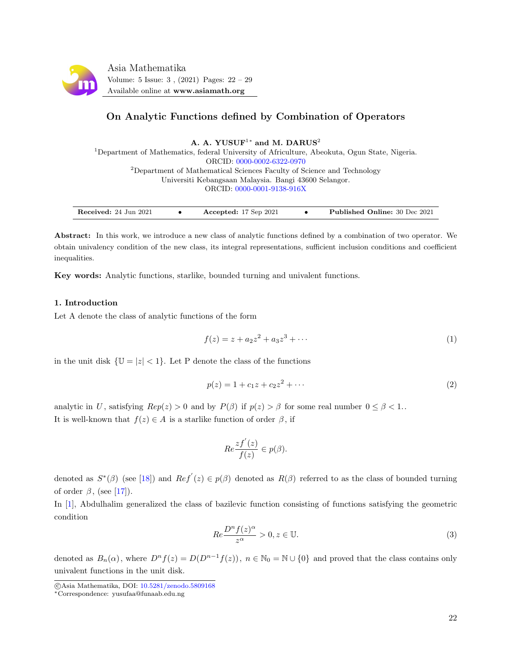

# On Analytic Functions defined by Combination of Operators

A. A. YUSUF<sup>1\*</sup> and M. DARUS<sup>2</sup>

<sup>1</sup>Department of Mathematics, federal University of Africulture, Abeokuta, Ogun State, Nigeria. ORCID: [0000-0002-6322-0970](https://orcid.org/0000-0002-6322-0970) <sup>2</sup>Department of Mathematical Sciences Faculty of Science and Technology Universiti Kebangsaan Malaysia. Bangi 43600 Selangor. ORCID: [0000-0001-9138-916X](https://orcid.org/0000-0001-9138-916X)

| Received: 24 Jun 2021 |  | Accepted: $17$ Sep $2021$ |  | <b>Published Online:</b> 30 Dec 2021 |
|-----------------------|--|---------------------------|--|--------------------------------------|
|-----------------------|--|---------------------------|--|--------------------------------------|

Abstract: In this work, we introduce a new class of analytic functions defined by a combination of two operator. We obtain univalency condition of the new class, its integral representations, sufficient inclusion conditions and coefficient inequalities.

Key words: Analytic functions, starlike, bounded turning and univalent functions.

## 1. Introduction

Let A denote the class of analytic functions of the form

$$
f(z) = z + a_2 z^2 + a_3 z^3 + \cdots
$$
 (1)

in the unit disk  $\{\mathbb{U} = |z| < 1\}$ . Let P denote the class of the functions

$$
p(z) = 1 + c_1 z + c_2 z^2 + \cdots
$$
 (2)

analytic in U, satisfying  $Rep(z) > 0$  and by  $P(\beta)$  if  $p(z) > \beta$  for some real number  $0 \le \beta < 1$ . It is well-known that  $f(z) \in A$  is a starlike function of order  $\beta$ , if

$$
Re\frac{zf^{'}(z)}{f(z)}\in p(\beta).
$$

denoted as  $S^*(\beta)$  (see [\[18\]](#page-7-0)) and  $Ref'(z) \in p(\beta)$  denoted as  $R(\beta)$  referred to as the class of bounded turning of order  $\beta$ , (see [\[17\]](#page-7-1)).

In [\[1\]](#page-7-2), Abdulhalim generalized the class of bazilevic function consisting of functions satisfying the geometric condition

$$
Re \frac{D^n f(z)^{\alpha}}{z^{\alpha}} > 0, z \in \mathbb{U}.
$$
 (3)

denoted as  $B_n(\alpha)$ , where  $D^n f(z) = D(D^{n-1} f(z))$ ,  $n \in \mathbb{N}_0 = \mathbb{N} \cup \{0\}$  and proved that the class contains only univalent functions in the unit disk.

c Asia Mathematika, DOI: [10.5281/zenodo.5809168](http://www.asiamath.org/article/vol5iss3/AM-2108-5215.pdf)

<sup>∗</sup>Correspondence: yusufaa@funaab.edu.ng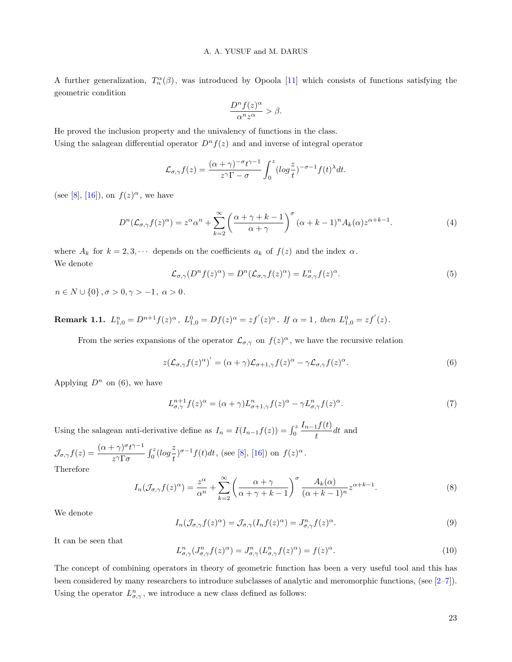A further generalization,  $T_n^{\alpha}(\beta)$ , was introduced by Opoola [\[11\]](#page-7-3) which consists of functions satisfying the geometric condition

$$
\frac{D^n f(z)^{\alpha}}{\alpha^n z^{\alpha}} > \beta.
$$

He proved the inclusion property and the univalency of functions in the class. Using the salagean differential operator  $D^n f(z)$  and and inverse of integral operator

$$
\mathcal{L}_{\sigma,\gamma}f(z) = \frac{(\alpha+\gamma)^{-\sigma}t^{\gamma-1}}{z^{\gamma}\Gamma - \sigma} \int_0^z (\log\frac{z}{t})^{-\sigma-1} f(t)^{\lambda} dt.
$$

(see [\[8\]](#page-7-4), [\[16\]](#page-7-5)), on  $f(z)^\alpha$ , we have

$$
D^{n}(\mathcal{L}_{\sigma,\gamma}f(z)^{\alpha}) = z^{\alpha}\alpha^{n} + \sum_{k=2}^{\infty} \left(\frac{\alpha+\gamma+k-1}{\alpha+\gamma}\right)^{\sigma} (\alpha+k-1)^{n} A_{k}(\alpha) z^{\alpha+k-1}.
$$
 (4)

where  $A_k$  for  $k = 2, 3, \cdots$  depends on the coefficients  $a_k$  of  $f(z)$  and the index  $\alpha$ . We denote

$$
\mathcal{L}_{\sigma,\gamma}(D^n f(z)^\alpha) = D^n(\mathcal{L}_{\sigma,\gamma} f(z)^\alpha) = L_{\sigma,\gamma}^n f(z)^\alpha.
$$
\n<sup>(5)</sup>

 $n \in N \cup \{0\}, \sigma > 0, \gamma > -1, \alpha > 0.$ 

**Remark 1.1.**  $L_{1,0}^n = D^{n+1} f(z)^{\alpha}$ ,  $L_{1,0}^0 = Df(z)^{\alpha} = zf'(z)^{\alpha}$ . If  $\alpha = 1$ , then  $L_{1,0}^0 = zf'(z)$ .

From the series expansions of the operator  $\mathcal{L}_{\sigma,\gamma}$  on  $f(z)^{\alpha}$ , we have the recursive relation

$$
z(\mathcal{L}_{\sigma,\gamma}f(z)^{\alpha})' = (\alpha + \gamma)\mathcal{L}_{\sigma+1,\gamma}f(z)^{\alpha} - \gamma\mathcal{L}_{\sigma,\gamma}f(z)^{\alpha}.
$$
\n(6)

Applying  $D^n$  on (6), we have

$$
L_{\sigma,\gamma}^{n+1} f(z)^{\alpha} = (\alpha + \gamma) L_{\sigma+1,\gamma}^{n} f(z)^{\alpha} - \gamma L_{\sigma,\gamma}^{n} f(z)^{\alpha}.
$$
\n<sup>(7)</sup>

Using the salagean anti-derivative define as  $I_n = I(I_{n-1}f(z)) = \int_0^z$  $I_{n-1}f(t)$  $\frac{dI}{dt}$  and  $\frac{dI}{dt}$  and

$$
\mathcal{J}_{\sigma,\gamma}f(z) = \frac{(\alpha + \gamma)^{\sigma} t^{\gamma - 1}}{z^{\gamma} \Gamma \sigma} \int_0^z (log\frac{z}{t})^{\sigma - 1} f(t) dt
$$
, (see [8], [16]) on  $f(z)^{\alpha}$ .  
Therefore

Therefore

$$
I_n(\mathcal{J}_{\sigma,\gamma}f(z)^{\alpha}) = \frac{z^{\alpha}}{\alpha^n} + \sum_{k=2}^{\infty} \left(\frac{\alpha + \gamma}{\alpha + \gamma + k - 1}\right)^{\sigma} \frac{A_k(\alpha)}{(\alpha + k - 1)^n} z^{\alpha + k - 1}.
$$
 (8)

We denote

$$
I_n(\mathcal{J}_{\sigma,\gamma}f(z)^{\alpha}) = \mathcal{J}_{\sigma,\gamma}(I_n f(z)^{\alpha}) = J_{\sigma,\gamma}^n f(z)^{\alpha}.
$$
\n(9)

It can be seen that

$$
L_{\sigma,\gamma}^n(J_{\sigma,\gamma}^n f(z)^{\alpha}) = J_{\sigma,\gamma}^n(L_{\sigma,\gamma}^n f(z)^{\alpha}) = f(z)^{\alpha}.
$$
\n(10)

The concept of combining operators in theory of geometric function has been a very useful tool and this has been considered by many researchers to introduce subclasses of analytic and meromorphic functions, (see [\[2–](#page-7-6)[7\]](#page-7-7)). Using the operator  $L_{\sigma,\gamma}^n$ , we introduce a new class defined as follows: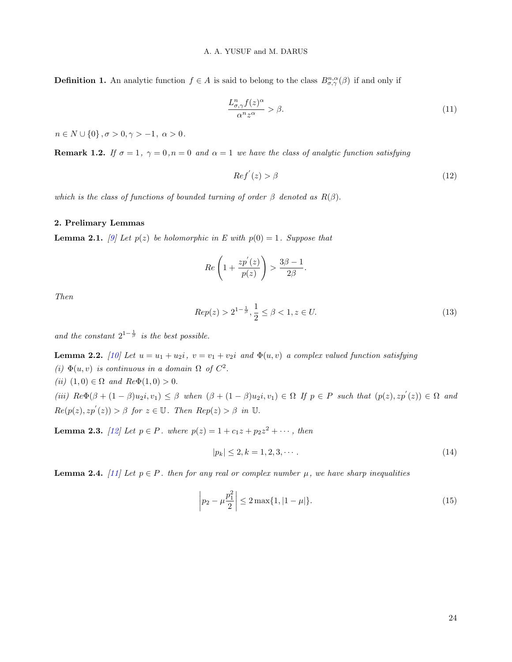**Definition 1.** An analytic function  $f \in A$  is said to belong to the class  $B^{n,\alpha}_{\sigma,\gamma}(\beta)$  if and only if

$$
\frac{L_{\sigma,\gamma}^n f(z)^{\alpha}}{\alpha^n z^{\alpha}} > \beta.
$$
\n(11)

 $n \in N \cup \{0\}, \sigma > 0, \gamma > -1, \ \alpha > 0.$ 

**Remark 1.2.** If  $\sigma = 1$ ,  $\gamma = 0$ ,  $n = 0$  and  $\alpha = 1$  we have the class of analytic function satisfying

$$
Ref'(z) > \beta \tag{12}
$$

which is the class of functions of bounded turning of order  $\beta$  denoted as  $R(\beta)$ .

#### 2. Prelimary Lemmas

**Lemma 2.1.** [\[9\]](#page-7-8) Let  $p(z)$  be holomorphic in E with  $p(0) = 1$ . Suppose that

$$
Re\left(1+\frac{zp'(z)}{p(z)}\right) > \frac{3\beta-1}{2\beta}
$$

Then

$$
Rep(z) > 2^{1 - \frac{1}{\beta}}, \frac{1}{2} \le \beta < 1, z \in U.
$$
\n(13)

.

and the constant  $2^{1-\frac{1}{\beta}}$  is the best possible.

**Lemma 2.2.** [\[10\]](#page-7-9) Let  $u = u_1 + u_2i$ ,  $v = v_1 + v_2i$  and  $\Phi(u, v)$  a complex valued function satisfying (i)  $\Phi(u, v)$  is continuous in a domain  $\Omega$  of  $C^2$ . (ii)  $(1,0) \in \Omega$  and  $Re\Phi(1,0) > 0$ . (iii)  $\text{Re}\Phi(\beta + (1-\beta)u_2i, v_1) \leq \beta$  when  $(\beta + (1-\beta)u_2i, v_1) \in \Omega$  If  $p \in P$  such that  $(p(z), zp'(z)) \in \Omega$  and  $Re(p(z), zp'(z)) > \beta$  for  $z \in \mathbb{U}$ . Then  $Rep(z) > \beta$  in  $\mathbb{U}$ .

**Lemma 2.3.** [\[12\]](#page-7-10) Let  $p \in P$ . where  $p(z) = 1 + c_1z + p_2z^2 + \cdots$ , then

$$
|p_k| \le 2, k = 1, 2, 3, \cdots. \tag{14}
$$

**Lemma 2.4.** [\[11\]](#page-7-3) Let  $p \in P$ . then for any real or complex number  $\mu$ , we have sharp inequalities

$$
\left| p_2 - \mu \frac{p_1^2}{2} \right| \le 2 \max\{1, |1 - \mu|\}. \tag{15}
$$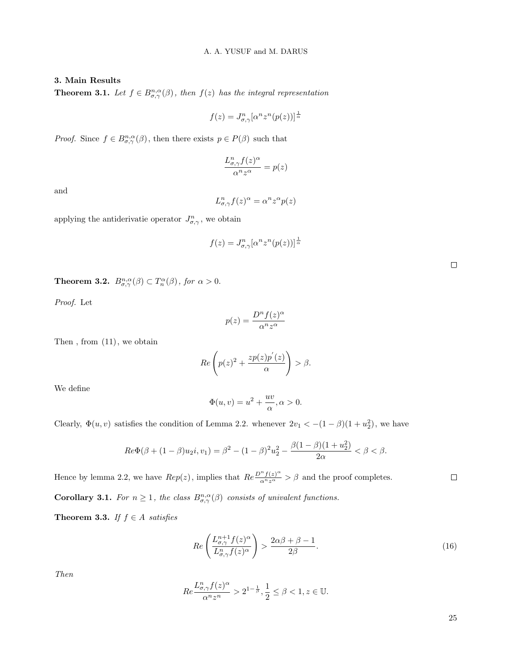## 3. Main Results

**Theorem 3.1.** Let  $f \in B^{n,\alpha}_{\sigma,\gamma}(\beta)$ , then  $f(z)$  has the integral representation

$$
f(z) = J^{n}_{\sigma,\gamma} [\alpha^{n} z^{n} (p(z))]^{\frac{1}{\alpha}}
$$

*Proof.* Since  $f \in B^{n,\alpha}_{\sigma,\gamma}(\beta)$ , then there exists  $p \in P(\beta)$  such that

$$
\frac{L_{\sigma,\gamma}^n f(z)^{\alpha}}{\alpha^n z^{\alpha}} = p(z)
$$

and

$$
L_{\sigma,\gamma}^n f(z)^\alpha = \alpha^n z^\alpha p(z)
$$

applying the antiderivatie operator  $J_{\sigma,\gamma}^n$ , we obtain

$$
f(z) = J^{n}_{\sigma,\gamma} [\alpha^{n} z^{n} (p(z))]^{\frac{1}{\alpha}}
$$

**Theorem 3.2.**  $B_{\sigma,\gamma}^{n,\alpha}(\beta) \subset T_n^{\alpha}(\beta)$ , for  $\alpha > 0$ .

Proof. Let

$$
p(z) = \frac{D^n f(z)^{\alpha}}{\alpha^n z^{\alpha}}
$$

Then , from (11), we obtain

$$
Re\left(p(z)^{2} + \frac{zp(z)p'(z)}{\alpha}\right) > \beta.
$$

We define

$$
\Phi(u,v) = u^2 + \frac{uv}{\alpha}, \alpha > 0.
$$

Clearly,  $\Phi(u, v)$  satisfies the condition of Lemma 2.2. whenever  $2v_1 < -(1 - \beta)(1 + u_2^2)$ , we have

$$
Re\Phi(\beta + (1 - \beta)u_2i, v_1) = \beta^2 - (1 - \beta)^2 u_2^2 - \frac{\beta(1 - \beta)(1 + u_2^2)}{2\alpha} < \beta < \beta.
$$

Hence by lemma 2.2, we have  $Rep(z)$ , implies that  $Re \frac{D^n f(z)^{\alpha}}{\alpha^n z^{\alpha}} > \beta$  and the proof completes.

**Corollary 3.1.** For  $n \geq 1$ , the class  $B_{\sigma,\gamma}^{n,\alpha}(\beta)$  consists of univalent functions.

Theorem 3.3. If  $f \in A$  satisfies

$$
Re\left(\frac{L_{\sigma,\gamma}^{n+1}f(z)^{\alpha}}{L_{\sigma,\gamma}^n f(z)^{\alpha}}\right) > \frac{2\alpha\beta + \beta - 1}{2\beta}.\tag{16}
$$

Then

$$
Re \frac{L_{\sigma,\gamma}^n f(z)^{\alpha}}{\alpha^n z^n} > 2^{1 - \frac{1}{\beta}}, \frac{1}{2} \le \beta < 1, z \in \mathbb{U}.
$$

25

 $\Box$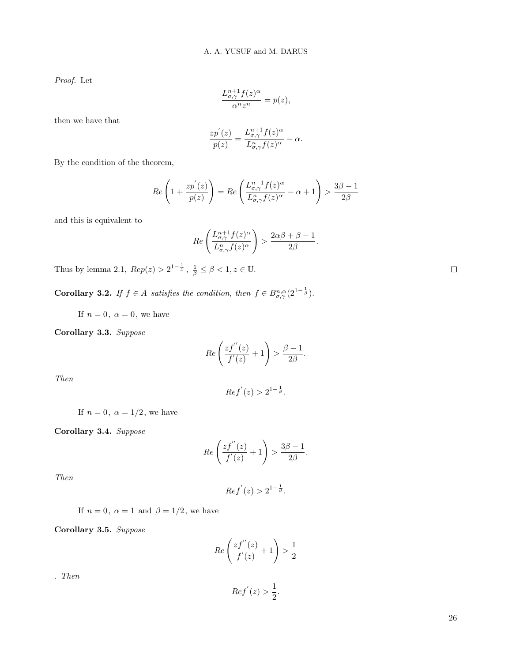Proof. Let

$$
\frac{L_{\sigma,\gamma}^{n+1}f(z)^{\alpha}}{\alpha^n z^n} = p(z),
$$

then we have that

$$
\frac{zp^{'}(z)}{p(z)} = \frac{L_{\sigma,\gamma}^{n+1}f(z)^{\alpha}}{L_{\sigma,\gamma}^{n}f(z)^{\alpha}} - \alpha.
$$

By the condition of the theorem,

$$
Re\left(1+\frac{zp'(z)}{p(z)}\right) = Re\left(\frac{L_{\sigma,\gamma}^{n+1}f(z)^{\alpha}}{L_{\sigma,\gamma}^n f(z)^{\alpha}} - \alpha + 1\right) > \frac{3\beta-1}{2\beta}
$$

and this is equivalent to

$$
Re\left(\frac{L_{\sigma,\gamma}^{n+1}f(z)^{\alpha}}{L_{\sigma,\gamma}^n f(z)^{\alpha}}\right) > \frac{2\alpha\beta + \beta - 1}{2\beta}.
$$

Thus by lemma 2.1,  $Rep(z) > 2^{1-\frac{1}{\beta}}, \frac{1}{\beta} \le \beta < 1, z \in \mathbb{U}.$ 

**Corollary 3.2.** If  $f \in A$  satisfies the condition, then  $f \in B^{\eta,\alpha}_{\sigma,\gamma}(2^{1-\frac{1}{\beta}})$ .

If  $n = 0$ ,  $\alpha = 0$ , we have

Corollary 3.3. Suppose

$$
Re\left(\frac{zf^{''}(z)}{f^{'}(z)}+1\right)>\frac{\beta-1}{2\beta}.
$$

Then

$$
Ref'(z) > 2^{1-\frac{1}{\beta}}.
$$

If  $n=0,\;\alpha=1/2,$  we have

Corollary 3.4. Suppose

$$
Re\left(\frac{zf^{''}(z)}{f'(z)}+1\right)>\frac{3\beta-1}{2\beta}.
$$

Then

$$
Ref'(z) > 2^{1-\frac{1}{\beta}}.
$$

If  $n = 0, \ \alpha = 1$  and  $\beta = 1/2$ , we have

Corollary 3.5. Suppose

$$
Re\left(\frac{zf^{''}(z)}{f'(z)}+1\right)>\frac{1}{2}
$$

. Then

$$
Ref'(z) > \frac{1}{2}.
$$

 $\Box$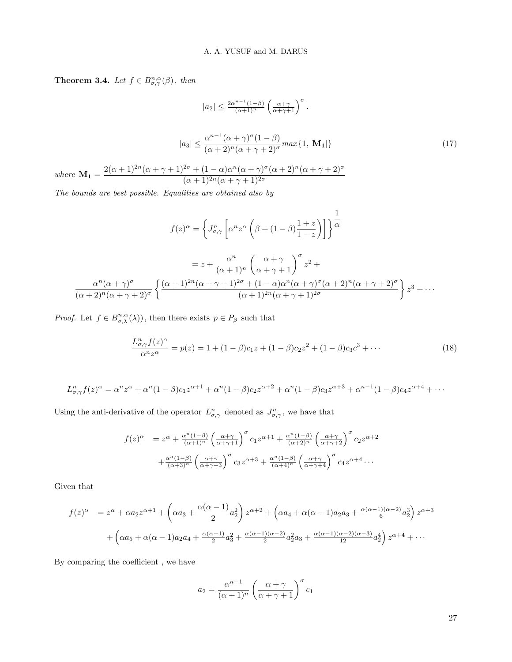**Theorem 3.4.** Let  $f \in B^{n,\alpha}_{\sigma,\gamma}(\beta)$ , then

$$
|a_2| \le \frac{2\alpha^{n-1}(1-\beta)}{(\alpha+1)^n} \left(\frac{\alpha+\gamma}{\alpha+\gamma+1}\right)^{\sigma}.
$$

$$
|a_3| \le \frac{\alpha^{n-1}(\alpha+\gamma)^{\sigma}(1-\beta)}{(\alpha+2)^n(\alpha+\gamma+2)^{\sigma}} \max\{1, |\mathbf{M_1}|\}
$$
(17)
$$
\mathbf{M_1} = \frac{2(\alpha+1)^{2n}(\alpha+\gamma+1)^{2\sigma} + (1-\alpha)\alpha^n(\alpha+\gamma)^{\sigma}(\alpha+2)^n(\alpha+\gamma+2)^{\sigma}}{(\alpha+1)^{2n}(\alpha+\gamma+1)^{2\sigma}}
$$

The bounds are best possible. Equalities are obtained also by

$$
f(z)^{\alpha} = \left\{ J_{\sigma,\gamma}^{n} \left[ \alpha^{n} z^{\alpha} \left( \beta + (1 - \beta) \frac{1 + z}{1 - z} \right) \right] \right\}^{\frac{1}{\alpha}}
$$

$$
= z + \frac{\alpha^{n}}{(\alpha + 1)^{n}} \left( \frac{\alpha + \gamma}{\alpha + \gamma + 1} \right)^{\sigma} z^{2} + \frac{\alpha^{n} (\alpha + \gamma)^{\sigma}}{(\alpha + 2)^{n} (\alpha + \gamma + 2)^{\sigma}} \left\{ \frac{(\alpha + 1)^{2n} (\alpha + \gamma + 1)^{2\sigma} + (1 - \alpha) \alpha^{n} (\alpha + \gamma)^{\sigma} (\alpha + 2)^{n} (\alpha + \gamma + 2)^{\sigma}}{(\alpha + 1)^{2n} (\alpha + \gamma + 1)^{2\sigma}} \right\} z^{3} + \cdots
$$

*Proof.* Let  $f \in B^{n,\alpha}_{\sigma,\lambda}(\lambda)$ , then there exists  $p \in P_\beta$  such that

$$
\frac{L_{\sigma,\gamma}^n f(z)^{\alpha}}{\alpha^n z^{\alpha}} = p(z) = 1 + (1 - \beta)c_1 z + (1 - \beta)c_2 z^2 + (1 - \beta)c_3 c^3 + \cdots
$$
\n(18)

$$
L_{\sigma,\gamma}^n f(z)^\alpha = \alpha^n z^\alpha + \alpha^n (1-\beta)c_1 z^{\alpha+1} + \alpha^n (1-\beta)c_2 z^{\alpha+2} + \alpha^n (1-\beta)c_3 z^{\alpha+3} + \alpha^{n-1} (1-\beta)c_4 z^{\alpha+4} + \cdots
$$

Using the anti-derivative of the operator  $L_{\sigma,\gamma}^n$  denoted as  $J_{\sigma,\gamma}^n$ , we have that

$$
f(z)^{\alpha} = z^{\alpha} + \frac{\alpha^{n}(1-\beta)}{(\alpha+1)^{n}} \left(\frac{\alpha+\gamma}{\alpha+\gamma+1}\right)^{\sigma} c_{1} z^{\alpha+1} + \frac{\alpha^{n}(1-\beta)}{(\alpha+2)^{n}} \left(\frac{\alpha+\gamma}{\alpha+\gamma+2}\right)^{\sigma} c_{2} z^{\alpha+2} + \frac{\alpha^{n}(1-\beta)}{(\alpha+3)^{n}} \left(\frac{\alpha+\gamma}{\alpha+\gamma+3}\right)^{\sigma} c_{3} z^{\alpha+3} + \frac{\alpha^{n}(1-\beta)}{(\alpha+4)^{n}} \left(\frac{\alpha+\gamma}{\alpha+\gamma+4}\right)^{\sigma} c_{4} z^{\alpha+4} \dots
$$

Given that

 $where$ 

$$
f(z)^{\alpha} = z^{\alpha} + \alpha a_2 z^{\alpha+1} + \left(\alpha a_3 + \frac{\alpha(\alpha-1)}{2}a_2^2\right) z^{\alpha+2} + \left(\alpha a_4 + \alpha(\alpha-1)a_2 a_3 + \frac{\alpha(\alpha-1)(\alpha-2)}{6}a_2^3\right) z^{\alpha+3} + \left(\alpha a_5 + \alpha(\alpha-1)a_2 a_4 + \frac{\alpha(\alpha-1)}{2}a_3^2 + \frac{\alpha(\alpha-1)(\alpha-2)}{2}a_2^2 a_3 + \frac{\alpha(\alpha-1)(\alpha-2)(\alpha-3)}{12}a_2^4\right) z^{\alpha+4} + \cdots
$$

By comparing the coefficient , we have

$$
a_2 = \frac{\alpha^{n-1}}{(\alpha+1)^n} \left(\frac{\alpha+\gamma}{\alpha+\gamma+1}\right)^{\sigma} c_1
$$

27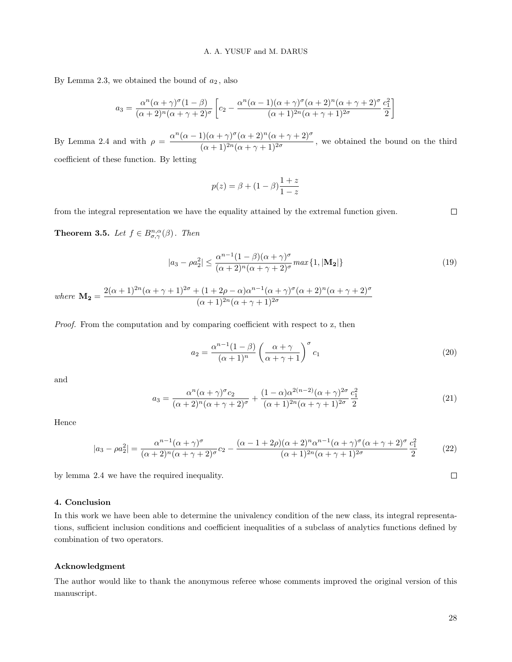By Lemma 2.3, we obtained the bound of  $a_2$ , also

$$
a_3 = \frac{\alpha^n(\alpha+\gamma)^\sigma(1-\beta)}{(\alpha+2)^n(\alpha+\gamma+2)^\sigma} \left[c_2 - \frac{\alpha^n(\alpha-1)(\alpha+\gamma)^\sigma(\alpha+2)^n(\alpha+\gamma+2)^\sigma}{(\alpha+1)^{2n}(\alpha+\gamma+1)^{2\sigma}} \frac{c_1^2}{2}\right]
$$

By Lemma 2.4 and with  $\rho = \frac{\alpha^n(\alpha-1)(\alpha+\gamma)^{\sigma}(\alpha+2)^n(\alpha+\gamma+2)^{\sigma}}{(\alpha+\gamma)(\alpha+\gamma+2)^{\sigma}}$  $\frac{\alpha + 1}{(\alpha + 1)^{2n}(\alpha + \gamma + 1)^{2\sigma}}$ , we obtained the bound on the third coefficient of these function. By letting

$$
f_{\rm{max}}
$$

$$
p(z) = \beta + (1 - \beta) \frac{1 + z}{1 - z}
$$

from the integral representation we have the equality attained by the extremal function given.

**Theorem 3.5.** Let  $f \in B^{n,\alpha}_{\sigma,\gamma}(\beta)$ . Then

$$
|a_3 - \rho a_2^2| \le \frac{\alpha^{n-1} (1-\beta)(\alpha+\gamma)^\sigma}{(\alpha+2)^n (\alpha+\gamma+2)^\sigma} \max\{1, |\mathbf{M_2}|\}\tag{19}
$$

where  $\mathbf{M_2} = \frac{2(\alpha+1)^{2n}(\alpha+\gamma+1)^{2\sigma}+(1+2\rho-\alpha)\alpha^{n-1}(\alpha+\gamma)^{\sigma}(\alpha+2)^n(\alpha+\gamma+2)^{\sigma}}{(1+1)^{2n}(\alpha+\gamma+1)^{2\sigma}}$  $(\alpha + 1)^{2n}(\alpha + \gamma + 1)^{2\sigma}$ 

Proof. From the computation and by comparing coefficient with respect to z, then

$$
a_2 = \frac{\alpha^{n-1}(1-\beta)}{(\alpha+1)^n} \left(\frac{\alpha+\gamma}{\alpha+\gamma+1}\right)^{\sigma} c_1
$$
\n(20)

and

$$
a_3 = \frac{\alpha^n (\alpha + \gamma)^\sigma c_2}{(\alpha + 2)^n (\alpha + \gamma + 2)^\sigma} + \frac{(1 - \alpha) \alpha^{2(n-2)} (\alpha + \gamma)^{2\sigma}}{(\alpha + 1)^{2n} (\alpha + \gamma + 1)^{2\sigma}} \frac{c_1^2}{2}
$$
(21)

Hence

$$
|a_3 - \rho a_2^2| = \frac{\alpha^{n-1}(\alpha + \gamma)^{\sigma}}{(\alpha + 2)^n(\alpha + \gamma + 2)^{\sigma}}c_2 - \frac{(\alpha - 1 + 2\rho)(\alpha + 2)^n\alpha^{n-1}(\alpha + \gamma)^{\sigma}(\alpha + \gamma + 2)^{\sigma}c_1^2}{(\alpha + 1)^{2n}(\alpha + \gamma + 1)^{2\sigma}} \tag{22}
$$

by lemma 2.4 we have the required inequality.

## 4. Conclusion

In this work we have been able to determine the univalency condition of the new class, its integral representations, sufficient inclusion conditions and coefficient inequalities of a subclass of analytics functions defined by combination of two operators.

#### Acknowledgment

The author would like to thank the anonymous referee whose comments improved the original version of this manuscript.

 $\Box$ 

 $\Box$